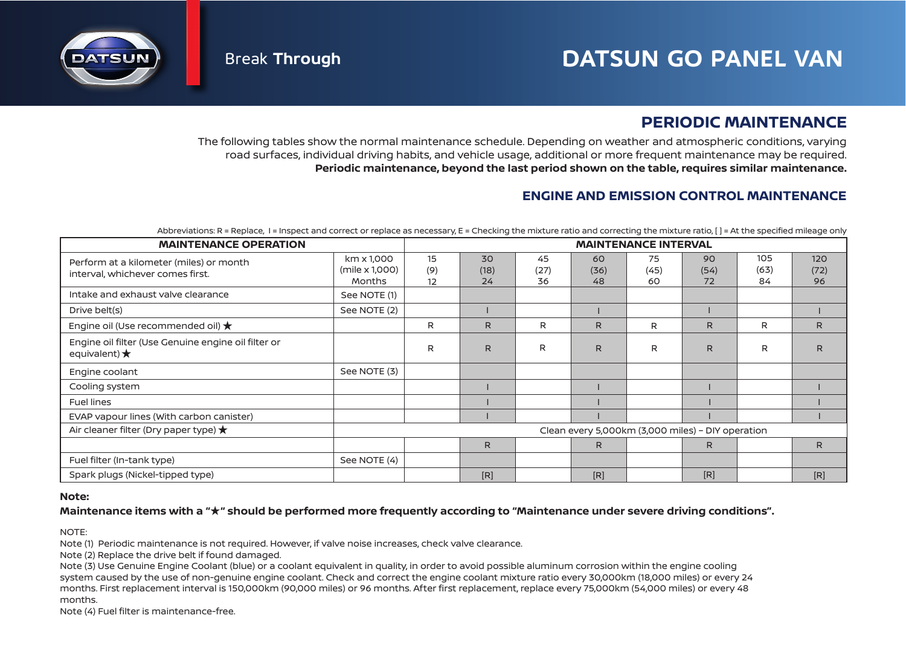

# **PERIODIC MAINTENANCE**

The following tables show the normal maintenance schedule. Depending on weather and atmospheric conditions, varying road surfaces, individual driving habits, and vehicle usage, additional or more frequent maintenance may be required. **Periodic maintenance, beyond the last period shown on the table, requires similar maintenance.**

### **ENGINE AND EMISSION CONTROL MAINTENANCE**

Abbreviations: R = Replace, I = Inspect and correct or replace as necessary, E = Checking the mixture ratio and correcting the mixture ratio, [] = At the specified mileage only

| <b>MAINTENANCE OPERATION</b>                                                  | <b>MAINTENANCE INTERVAL</b>                       |                 |                  |                  |                  |                  |                  |                   |                   |  |
|-------------------------------------------------------------------------------|---------------------------------------------------|-----------------|------------------|------------------|------------------|------------------|------------------|-------------------|-------------------|--|
| Perform at a kilometer (miles) or month<br>interval, whichever comes first.   | km x 1,000<br>(mile x 1,000)<br>Months            | 15<br>(9)<br>12 | 30<br>(18)<br>24 | 45<br>(27)<br>36 | 60<br>(36)<br>48 | 75<br>(45)<br>60 | 90<br>(54)<br>72 | 105<br>(63)<br>84 | 120<br>(72)<br>96 |  |
| Intake and exhaust valve clearance                                            | See NOTE (1)                                      |                 |                  |                  |                  |                  |                  |                   |                   |  |
| Drive belt(s)                                                                 | See NOTE (2)                                      |                 |                  |                  |                  |                  |                  |                   |                   |  |
| Engine oil (Use recommended oil) $\bigstar$                                   |                                                   | R               | R.               | R                | R.               | R                | R                | R                 | R                 |  |
| Engine oil filter (Use Genuine engine oil filter or<br>equivalent) $\bigstar$ |                                                   | R               | $\mathsf{R}$     | R                | $\mathsf{R}$     | R                | R                | R                 | R                 |  |
| Engine coolant                                                                | See NOTE (3)                                      |                 |                  |                  |                  |                  |                  |                   |                   |  |
| Cooling system                                                                |                                                   |                 |                  |                  |                  |                  |                  |                   |                   |  |
| <b>Fuel lines</b>                                                             |                                                   |                 |                  |                  |                  |                  |                  |                   |                   |  |
| EVAP vapour lines (With carbon canister)                                      |                                                   |                 |                  |                  |                  |                  |                  |                   |                   |  |
| Air cleaner filter (Dry paper type) $\bigstar$                                | Clean every 5,000km (3,000 miles) - DIY operation |                 |                  |                  |                  |                  |                  |                   |                   |  |
|                                                                               |                                                   |                 | $\mathsf{R}$     |                  | R                |                  | R                |                   | R                 |  |
| Fuel filter (In-tank type)                                                    | See NOTE (4)                                      |                 |                  |                  |                  |                  |                  |                   |                   |  |
| Spark plugs (Nickel-tipped type)                                              |                                                   |                 | [R]              |                  | [R]              |                  | [R]              |                   | [R]               |  |

### **Note:**

### **Maintenance items with a " " should be performed more frequently according to "Maintenance under severe driving conditions".** ★

NOTE:

Note (1) Periodic maintenance is not required. However, if valve noise increases, check valve clearance.

Note (2) Replace the drive belt if found damaged.

Note (3) Use Genuine Engine Coolant (blue) or a coolant equivalent in quality, in order to avoid possible aluminum corrosion within the engine cooling system caused by the use of non-genuine engine coolant. Check and correct the engine coolant mixture ratio every 30,000km (18,000 miles) or every 24 months. First replacement interval is 150,000km (90,000 miles) or 96 months. After first replacement, replace every 75,000km (54,000 miles) or every 48 months.

Note (4) Fuel filter is maintenance-free.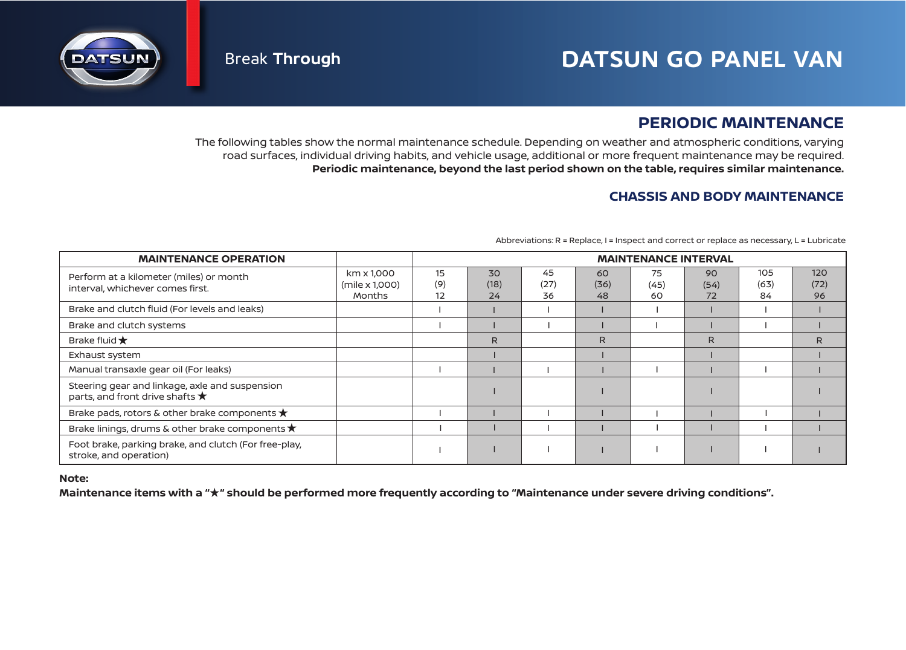

# **PERIODIC MAINTENANCE**

The following tables show the normal maintenance schedule. Depending on weather and atmospheric conditions, varying road surfaces, individual driving habits, and vehicle usage, additional or more frequent maintenance may be required. **Periodic maintenance, beyond the last period shown on the table, requires similar maintenance.**

## **CHASSIS AND BODY MAINTENANCE**

| <b>MAINTENANCE OPERATION</b>                                                               |                                        | <b>MAINTENANCE INTERVAL</b> |                  |                  |                  |                  |                  |                   |                   |
|--------------------------------------------------------------------------------------------|----------------------------------------|-----------------------------|------------------|------------------|------------------|------------------|------------------|-------------------|-------------------|
| Perform at a kilometer (miles) or month<br>interval, whichever comes first.                | km x 1,000<br>(mile x 1,000)<br>Months | 15<br>(9)<br>12             | 30<br>(18)<br>24 | 45<br>(27)<br>36 | 60<br>(36)<br>48 | 75<br>(45)<br>60 | 90<br>(54)<br>72 | 105<br>(63)<br>84 | 120<br>(72)<br>96 |
| Brake and clutch fluid (For levels and leaks)                                              |                                        |                             |                  |                  |                  |                  |                  |                   |                   |
| Brake and clutch systems                                                                   |                                        |                             |                  |                  |                  |                  |                  |                   |                   |
| Brake fluid $\bigstar$                                                                     |                                        |                             | R.               |                  | R.               |                  | R                |                   | R                 |
| Exhaust system                                                                             |                                        |                             |                  |                  |                  |                  |                  |                   |                   |
| Manual transaxle gear oil (For leaks)                                                      |                                        |                             |                  |                  |                  |                  |                  |                   |                   |
| Steering gear and linkage, axle and suspension<br>parts, and front drive shafts $\bigstar$ |                                        |                             |                  |                  |                  |                  |                  |                   |                   |
| Brake pads, rotors & other brake components $\bigstar$                                     |                                        |                             |                  |                  |                  |                  |                  |                   |                   |
| Brake linings, drums & other brake components $\bigstar$                                   |                                        |                             |                  |                  |                  |                  |                  |                   |                   |
| Foot brake, parking brake, and clutch (For free-play,<br>stroke, and operation)            |                                        |                             |                  |                  |                  |                  |                  |                   |                   |

Abbreviations: R = Replace, I = Inspect and correct or replace as necessary, L = Lubricate

### **Note:**

Maintenance items with a "<sup>\*</sup> should be performed more frequently according to "Maintenance under severe driving conditions".